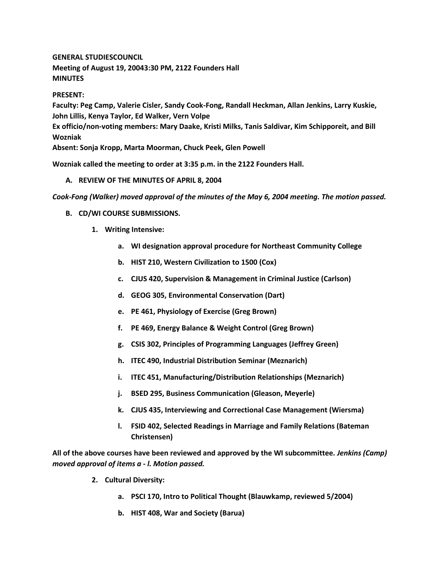**GENERAL STUDIESCOUNCIL**

**Meeting of August 19, 20043:30 PM, 2122 Founders Hall MINUTES**

**PRESENT:**

**Faculty: Peg Camp, Valerie Cisler, Sandy Cook-Fong, Randall Heckman, Allan Jenkins, Larry Kuskie, John Lillis, Kenya Taylor, Ed Walker, Vern Volpe Ex officio/non-voting members: Mary Daake, Kristi Milks, Tanis Saldivar, Kim Schipporeit, and Bill Wozniak Absent: Sonja Kropp, Marta Moorman, Chuck Peek, Glen Powell**

**Wozniak called the meeting to order at 3:35 p.m. in the 2122 Founders Hall.**

## **A. REVIEW OF THE MINUTES OF APRIL 8, 2004**

*Cook-Fong (Walker) moved approval of the minutes of the May 6, 2004 meeting. The motion passed.*

- **B. CD/WI COURSE SUBMISSIONS.**
	- **1. Writing Intensive:** 
		- **a. WI designation approval procedure for Northeast Community College**
		- **b. HIST 210, Western Civilization to 1500 (Cox)**
		- **c. CJUS 420, Supervision & Management in Criminal Justice (Carlson)**
		- **d. GEOG 305, Environmental Conservation (Dart)**
		- **e. PE 461, Physiology of Exercise (Greg Brown)**
		- **f. PE 469, Energy Balance & Weight Control (Greg Brown)**
		- **g. CSIS 302, Principles of Programming Languages (Jeffrey Green)**
		- **h. ITEC 490, Industrial Distribution Seminar (Meznarich)**
		- **i. ITEC 451, Manufacturing/Distribution Relationships (Meznarich)**
		- **j. BSED 295, Business Communication (Gleason, Meyerle)**
		- **k. CJUS 435, Interviewing and Correctional Case Management (Wiersma)**
		- **l. FSID 402, Selected Readings in Marriage and Family Relations (Bateman Christensen)**

**All of the above courses have been reviewed and approved by the WI subcommittee.** *Jenkins (Camp) moved approval of items a - l. Motion passed.*

- **2. Cultural Diversity:** 
	- **a. PSCI 170, Intro to Political Thought (Blauwkamp, reviewed 5/2004)**
	- **b. HIST 408, War and Society (Barua)**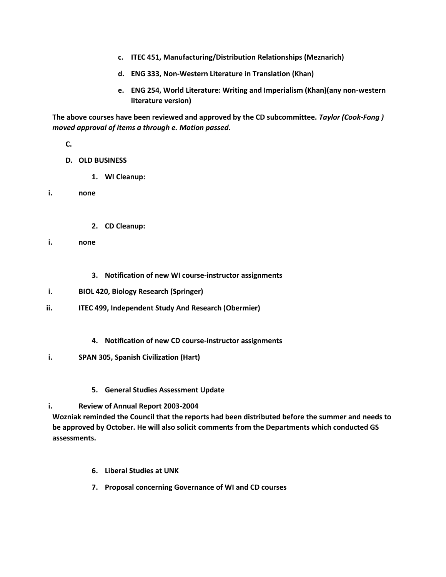- **c. ITEC 451, Manufacturing/Distribution Relationships (Meznarich)**
- **d. ENG 333, Non-Western Literature in Translation (Khan)**
- **e. ENG 254, World Literature: Writing and Imperialism (Khan)(any non-western literature version)**

**The above courses have been reviewed and approved by the CD subcommittee.** *Taylor (Cook-Fong ) moved approval of items a through e. Motion passed.*

**C.**

- **D. OLD BUSINESS**
	- **1. WI Cleanup:**

**i. none**

- **2. CD Cleanup:**
- **i. none**
	- **3. Notification of new WI course-instructor assignments**
- **i. BIOL 420, Biology Research (Springer)**
- **ii. ITEC 499, Independent Study And Research (Obermier)**
	- **4. Notification of new CD course-instructor assignments**
- **i. SPAN 305, Spanish Civilization (Hart)**
	- **5. General Studies Assessment Update**

## **i. Review of Annual Report 2003-2004**

**Wozniak reminded the Council that the reports had been distributed before the summer and needs to be approved by October. He will also solicit comments from the Departments which conducted GS assessments.**

- **6. Liberal Studies at UNK**
- **7. Proposal concerning Governance of WI and CD courses**